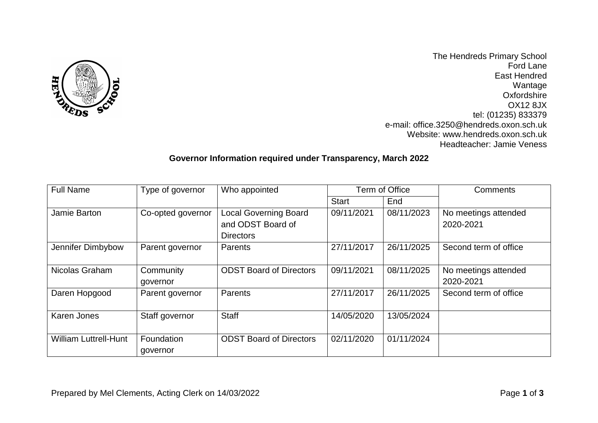

The Hendreds Primary School Ford Lane East Hendred Wantage **Oxfordshire** OX12 8JX tel: (01235) 833379 e-mail: office.3250@hendreds.oxon.sch.uk Website: www.hendreds.oxon.sch.uk Headteacher: Jamie Veness

## **Governor Information required under Transparency, March 2022**

| <b>Full Name</b>             | Type of governor  | Who appointed                  | Term of Office |            | Comments              |
|------------------------------|-------------------|--------------------------------|----------------|------------|-----------------------|
|                              |                   |                                | <b>Start</b>   | End        |                       |
| Jamie Barton                 | Co-opted governor | <b>Local Governing Board</b>   | 09/11/2021     | 08/11/2023 | No meetings attended  |
|                              |                   | and ODST Board of              |                |            | 2020-2021             |
|                              |                   | <b>Directors</b>               |                |            |                       |
| Jennifer Dimbybow            | Parent governor   | Parents                        | 27/11/2017     | 26/11/2025 | Second term of office |
|                              |                   |                                |                |            |                       |
| Nicolas Graham               | Community         | <b>ODST Board of Directors</b> | 09/11/2021     | 08/11/2025 | No meetings attended  |
|                              | governor          |                                |                |            | 2020-2021             |
| Daren Hopgood                | Parent governor   | Parents                        | 27/11/2017     | 26/11/2025 | Second term of office |
|                              |                   |                                |                |            |                       |
| Karen Jones                  | Staff governor    | <b>Staff</b>                   | 14/05/2020     | 13/05/2024 |                       |
|                              |                   |                                |                |            |                       |
| <b>William Luttrell-Hunt</b> | Foundation        | <b>ODST Board of Directors</b> | 02/11/2020     | 01/11/2024 |                       |
|                              | governor          |                                |                |            |                       |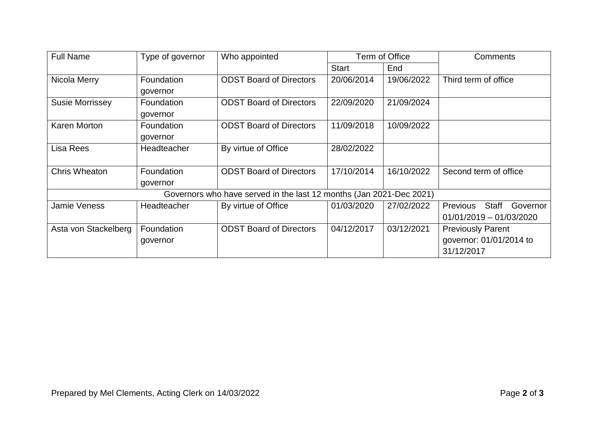| <b>Full Name</b>                                                    | Type of governor | Who appointed                  | Term of Office |                         | <b>Comments</b>               |  |  |
|---------------------------------------------------------------------|------------------|--------------------------------|----------------|-------------------------|-------------------------------|--|--|
|                                                                     |                  |                                | <b>Start</b>   | End                     |                               |  |  |
| Nicola Merry                                                        | Foundation       | <b>ODST Board of Directors</b> | 20/06/2014     | 19/06/2022              | Third term of office          |  |  |
|                                                                     | governor         |                                |                |                         |                               |  |  |
| <b>Susie Morrissey</b>                                              | Foundation       | <b>ODST Board of Directors</b> | 22/09/2020     | 21/09/2024              |                               |  |  |
|                                                                     | governor         |                                |                |                         |                               |  |  |
| <b>Karen Morton</b>                                                 | Foundation       | <b>ODST Board of Directors</b> | 11/09/2018     | 10/09/2022              |                               |  |  |
|                                                                     | governor         |                                |                |                         |                               |  |  |
| Lisa Rees                                                           | Headteacher      | By virtue of Office            | 28/02/2022     |                         |                               |  |  |
|                                                                     |                  |                                |                |                         |                               |  |  |
| <b>Chris Wheaton</b>                                                | Foundation       | <b>ODST Board of Directors</b> | 17/10/2014     | 16/10/2022              | Second term of office         |  |  |
|                                                                     | governor         |                                |                |                         |                               |  |  |
| Governors who have served in the last 12 months (Jan 2021-Dec 2021) |                  |                                |                |                         |                               |  |  |
| Jamie Veness                                                        | Headteacher      | By virtue of Office            | 01/03/2020     | 27/02/2022              | Staff<br>Governor<br>Previous |  |  |
|                                                                     |                  |                                |                |                         | $01/01/2019 - 01/03/2020$     |  |  |
| Asta von Stackelberg                                                | Foundation       | <b>ODST Board of Directors</b> | 04/12/2017     | 03/12/2021              | <b>Previously Parent</b>      |  |  |
|                                                                     | governor         |                                |                | governor: 01/01/2014 to |                               |  |  |
|                                                                     |                  |                                |                |                         | 31/12/2017                    |  |  |